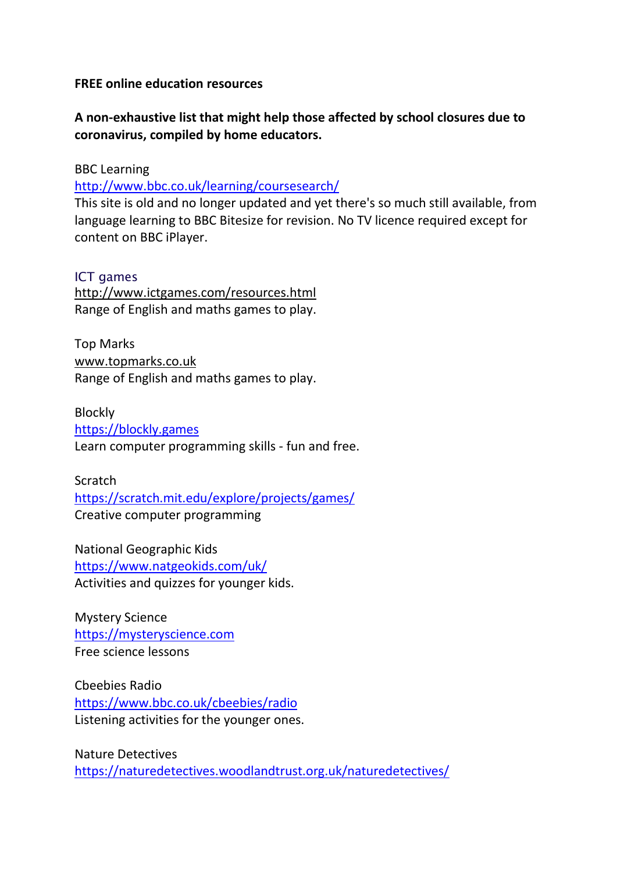## **FREE online education resources**

## **A non-exhaustive list that might help those affected by school closures due to coronavirus, compiled by home educators.**

BBC Learning

<http://www.bbc.co.uk/learning/coursesearch/>

This site is old and no longer updated and yet there's so much still available, from language learning to BBC Bitesize for revision. No TV licence required except for content on BBC iPlayer.

## ICT games

<http://www.ictgames.com/resources.html> Range of English and maths games to play.

Top Marks [www.topmarks.co.uk](http://www.topmarks.co.uk/) Range of English and maths games to play.

Blockly [https://blockly.games](https://blockly.games/) Learn computer programming skills - fun and free.

Scratch <https://scratch.mit.edu/explore/projects/games/> Creative computer programming

National Geographic Kids <https://www.natgeokids.com/uk/> Activities and quizzes for younger kids.

Mystery Science [https://mysteryscience.com](https://mysteryscience.com/) Free science lessons

Cbeebies Radio <https://www.bbc.co.uk/cbeebies/radio> Listening activities for the younger ones.

Nature Detectives <https://naturedetectives.woodlandtrust.org.uk/naturedetectives/>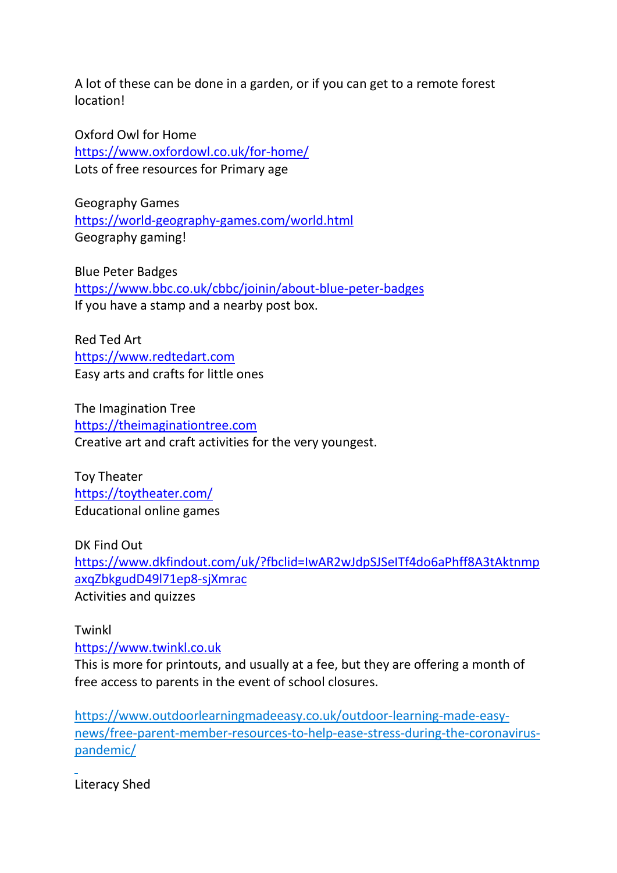A lot of these can be done in a garden, or if you can get to a remote forest location!

Oxford Owl for Home <https://www.oxfordowl.co.uk/for-home/> Lots of free resources for Primary age

Geography Games <https://world-geography-games.com/world.html> Geography gaming!

Blue Peter Badges <https://www.bbc.co.uk/cbbc/joinin/about-blue-peter-badges> If you have a stamp and a nearby post box.

Red Ted Art [https://www.redtedart.com](https://www.redtedart.com/) Easy arts and crafts for little ones

The Imagination Tree [https://theimaginationtree.com](https://theimaginationtree.com/) Creative art and craft activities for the very youngest.

Toy Theater <https://toytheater.com/> Educational online games

DK Find Out [https://www.dkfindout.com/uk/?fbclid=IwAR2wJdpSJSeITf4do6aPhff8A3tAktnmp](https://www.dkfindout.com/uk/?fbclid=IwAR2wJdpSJSeITf4do6aPhff8A3tAktnmpaxqZbkgudD49l71ep8-sjXmrac) [axqZbkgudD49l71ep8-sjXmrac](https://www.dkfindout.com/uk/?fbclid=IwAR2wJdpSJSeITf4do6aPhff8A3tAktnmpaxqZbkgudD49l71ep8-sjXmrac) Activities and quizzes

Twinkl [https://www.twinkl.co.uk](https://www.twinkl.co.uk/)

This is more for printouts, and usually at a fee, but they are offering a month of free access to parents in the event of school closures.

[https://www.outdoorlearningmadeeasy.co.uk/outdoor-learning-made-easy](https://www.outdoorlearningmadeeasy.co.uk/outdoor-learning-made-easy-news/free-parent-member-resources-to-help-ease-stress-during-the-coronavirus-pandemic/)[news/free-parent-member-resources-to-help-ease-stress-during-the-coronavirus](https://www.outdoorlearningmadeeasy.co.uk/outdoor-learning-made-easy-news/free-parent-member-resources-to-help-ease-stress-during-the-coronavirus-pandemic/)[pandemic/](https://www.outdoorlearningmadeeasy.co.uk/outdoor-learning-made-easy-news/free-parent-member-resources-to-help-ease-stress-during-the-coronavirus-pandemic/)

Literacy Shed